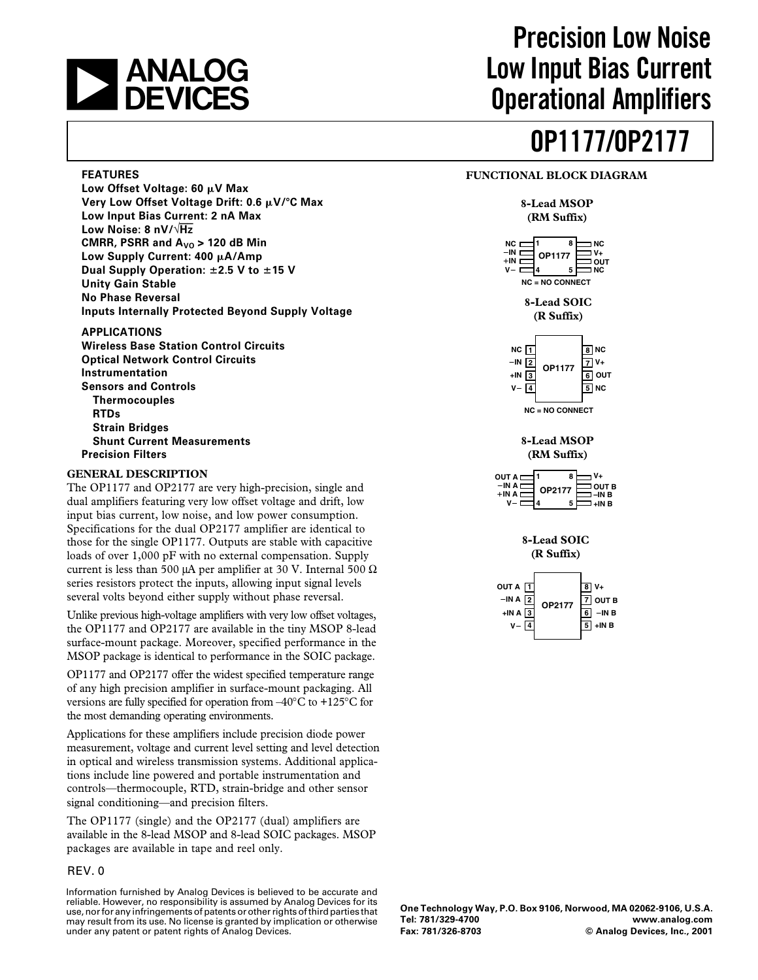# **ANALOG<br>DEVICES**

## **Precision Low Noise Low Input Bias Current Operational Amplifiers**

# **OP1177/OP2177**

#### **FUNCTIONAL BLOCK DIAGRAM**

#### **8-Lead MSOP (RM Suffix)**



**8-Lead SOIC (R Suffix)**



**8-Lead MSOP (RM Suffix)**

| OUT A I                    | V+                                  |
|----------------------------|-------------------------------------|
| $-INA$<br>OP2177<br>$+INA$ | <b>OUT B</b><br>-IN B<br>+IN B<br>5 |

**8-Lead SOIC (R Suffix)**



#### **One Technology Way, P.O. Box 9106, Norwood, MA 02062-9106, U.S.A. Tel: 781/329-4700 www.analog.com Fax: 781/326-8703 © Analog Devices, Inc., 2001**

#### **FEATURES**

Low Offset Voltage: 60 µV Max **Very Low Offset Voltage Drift: 0.6 V/**-**C Max Low Input Bias Current: 2 nA Max Low Noise: 8 nV/**√**Hz CMRR, PSRR and**  $A_{V0}$  **> 120 dB Min Low Supply Current: 400 A/Amp Dual Supply Operation: 2.5 V to 15 V Unity Gain Stable No Phase Reversal Inputs Internally Protected Beyond Supply Voltage**

#### **APPLICATIONS**

**Wireless Base Station Control Circuits Optical Network Control Circuits Instrumentation Sensors and Controls Thermocouples RTDs Strain Bridges Shunt Current Measurements Precision Filters**

#### **GENERAL DESCRIPTION**

The OP1177 and OP2177 are very high-precision, single and dual amplifiers featuring very low offset voltage and drift, low input bias current, low noise, and low power consumption. Specifications for the dual OP2177 amplifier are identical to those for the single OP1177. Outputs are stable with capacitive loads of over 1,000 pF with no external compensation. Supply current is less than 500 µA per amplifier at 30 V. Internal 500  $\Omega$ series resistors protect the inputs, allowing input signal levels several volts beyond either supply without phase reversal.

Unlike previous high-voltage amplifiers with very low offset voltages, the OP1177 and OP2177 are available in the tiny MSOP 8-lead surface-mount package. Moreover, specified performance in the MSOP package is identical to performance in the SOIC package.

OP1177 and OP2177 offer the widest specified temperature range of any high precision amplifier in surface-mount packaging. All versions are fully specified for operation from –40°C to +125°C for the most demanding operating environments.

Applications for these amplifiers include precision diode power measurement, voltage and current level setting and level detection in optical and wireless transmission systems. Additional applications include line powered and portable instrumentation and controls—thermocouple, RTD, strain-bridge and other sensor signal conditioning—and precision filters.

The OP1177 (single) and the OP2177 (dual) amplifiers are available in the 8-lead MSOP and 8-lead SOIC packages. MSOP packages are available in tape and reel only.

#### REV. 0

Information furnished by Analog Devices is believed to be accurate and reliable. However, no responsibility is assumed by Analog Devices for its use, nor for any infringements of patents or other rights of third parties that may result from its use. No license is granted by implication or otherwise under any patent or patent rights of Analog Devices.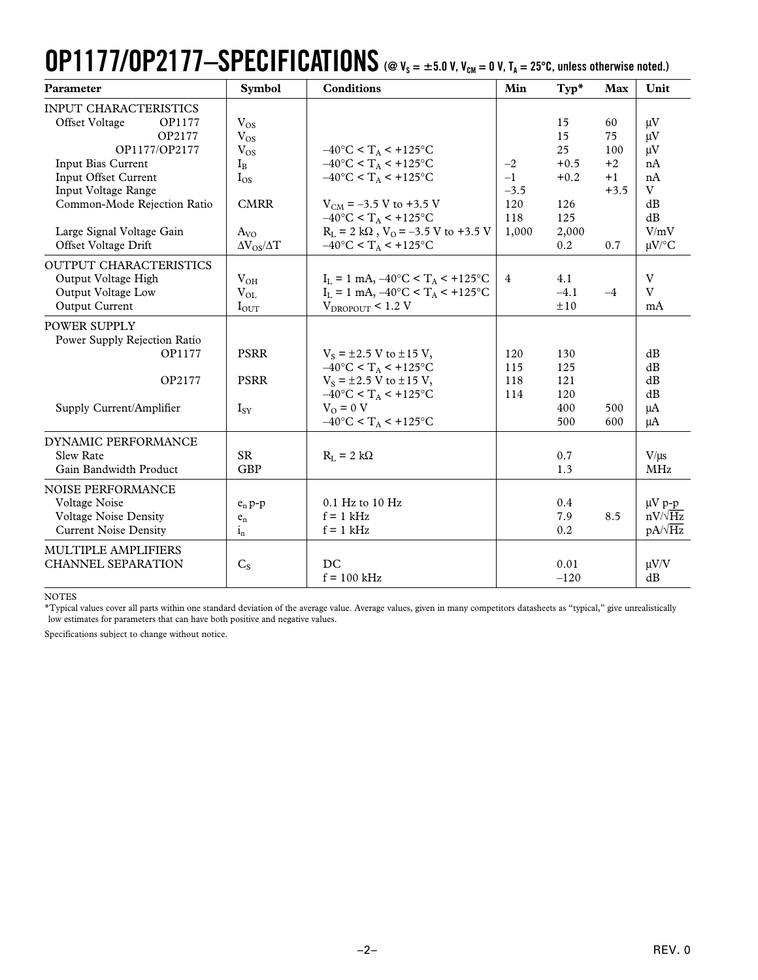# **OP1177/OP2177-SPECIFICATIONS** (@  $V_s = \pm 5.0$  V,  $V_{\text{CM}} = 0$  V,  $T_A = 25^{\circ}$ C, unless otherwise noted.)

| Parameter                                                                                                                                                                                                                                    | <b>Symbol</b>                                                                                                  | <b>Conditions</b>                                                                                                                                                                                                                                                                                            | Min                                           | $Typ*$                                                           | Max                                              | Unit                                                                             |
|----------------------------------------------------------------------------------------------------------------------------------------------------------------------------------------------------------------------------------------------|----------------------------------------------------------------------------------------------------------------|--------------------------------------------------------------------------------------------------------------------------------------------------------------------------------------------------------------------------------------------------------------------------------------------------------------|-----------------------------------------------|------------------------------------------------------------------|--------------------------------------------------|----------------------------------------------------------------------------------|
| <b>INPUT CHARACTERISTICS</b><br>OP1177<br>Offset Voltage<br>OP2177<br>OP1177/OP2177<br>Input Bias Current<br>Input Offset Current<br>Input Voltage Range<br>Common-Mode Rejection Ratio<br>Large Signal Voltage Gain<br>Offset Voltage Drift | $V_{OS}$<br>$V_{OS}$<br>$V_{OS}$<br>$I_{B}$<br>$I_{OS}$<br><b>CMRR</b><br>$A_{VO}$<br>$\Delta V_{OS}/\Delta T$ | $-40^{\circ}$ C < T <sub>A</sub> < +125°C<br>$-40^{\circ}$ C < T <sub>A</sub> < +125°C<br>$-40^{\circ}$ C < T <sub>A</sub> < +125°C<br>$V_{CM}$ = -3.5 V to +3.5 V<br>$-40^{\circ}$ C < T <sub>A</sub> < +125°C<br>$R_L = 2 k\Omega$ , $V_O = -3.5 V$ to +3.5 V<br>$-40^{\circ}$ C < T <sub>A</sub> < +125°C | $-2$<br>$-1$<br>$-3.5$<br>120<br>118<br>1,000 | 15<br>15<br>25<br>$+0.5$<br>$+0.2$<br>126<br>125<br>2,000<br>0.2 | 60<br>75<br>100<br>$+2$<br>$+1$<br>$+3.5$<br>0.7 | $\mu$ V<br>$\mu$ V<br>$\mu$ V<br>nA<br>nA<br>V<br>dB<br>dB<br>V/mV<br>$\mu$ V/°C |
| OUTPUT CHARACTERISTICS<br>Output Voltage High<br>Output Voltage Low<br>Output Current                                                                                                                                                        | $V_{OH}$<br>$V_{OL}$<br>$I_{OUT}$                                                                              | $I_L = 1$ mA, $-40^{\circ}C < T_A < +125^{\circ}C$<br>$I_L = 1$ mA, $-40^{\circ}C < T_A < +125^{\circ}C$<br>$V_{DROPOUT}$ < 1.2 V                                                                                                                                                                            | $\overline{4}$                                | 4.1<br>$-4.1$<br>±10                                             | $-4$                                             | V<br>V<br>mA                                                                     |
| POWER SUPPLY<br>Power Supply Rejection Ratio<br>OP1177<br>OP2177<br>Supply Current/Amplifier                                                                                                                                                 | <b>PSRR</b><br><b>PSRR</b><br>$I_{SY}$                                                                         | $V_s = \pm 2.5$ V to $\pm 15$ V,<br>$-40^{\circ}$ C < T <sub>A</sub> < +125°C<br>$V_s = \pm 2.5$ V to $\pm 15$ V,<br>$-40^{\circ}$ C < T <sub>A</sub> < +125°C<br>$VO = 0 V$<br>$-40^{\circ}$ C < T <sub>A</sub> < +125°C                                                                                    | 120<br>115<br>118<br>114                      | 130<br>125<br>121<br>120<br>400<br>500                           | 500<br>600                                       | dB<br>dB<br>dB<br>dB<br>μA<br>μA                                                 |
| DYNAMIC PERFORMANCE<br><b>Slew Rate</b><br>Gain Bandwidth Product                                                                                                                                                                            | <b>SR</b><br><b>GBP</b>                                                                                        | $R_L = 2 k\Omega$                                                                                                                                                                                                                                                                                            |                                               | 0.7<br>1.3                                                       |                                                  | $V/\mu s$<br><b>MHz</b>                                                          |
| <b>NOISE PERFORMANCE</b><br>Voltage Noise<br><b>Voltage Noise Density</b><br><b>Current Noise Density</b>                                                                                                                                    | $e_n p-p$<br>$\mathbf{e}_{\rm n}$<br>$1_{n}$                                                                   | 0.1 Hz to 10 Hz<br>$f = 1$ kHz<br>$f = 1$ kHz                                                                                                                                                                                                                                                                |                                               | 0.4<br>7.9<br>0.2                                                | 8.5                                              | $\mu V$ p-p<br>$nV/\sqrt{Hz}$<br>$pA/\sqrt{Hz}$                                  |
| MULTIPLE AMPLIFIERS<br><b>CHANNEL SEPARATION</b>                                                                                                                                                                                             | $C_{S}$                                                                                                        | DC<br>$f = 100$ kHz                                                                                                                                                                                                                                                                                          |                                               | 0.01<br>$-120$                                                   |                                                  | $\mu V/V$<br>dB                                                                  |

NOTES

\*Typical values cover all parts within one standard deviation of the average value. Average values, given in many competitors datasheets as "typical," give unrealistically low estimates for parameters that can have both positive and negative values.

Specifications subject to change without notice.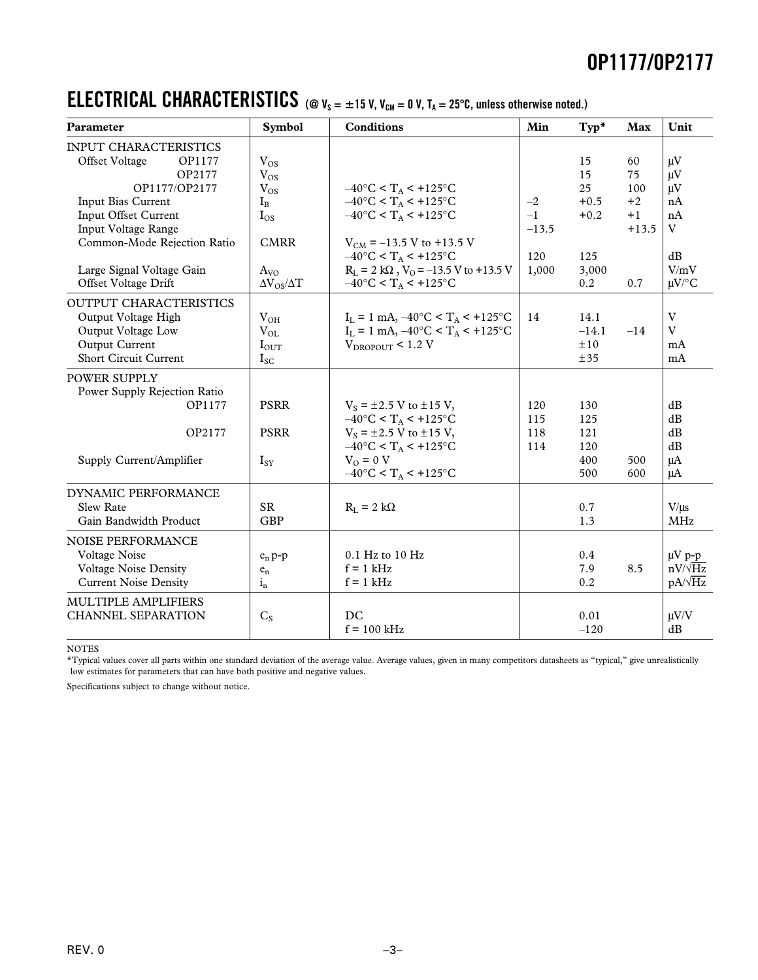### **ELECTRICAL CHARACTERISTICS** (@  $v_s = \pm 15$  V,  $v_{cm} = 0$  V,  $T_A = 25^\circ$ C, unless otherwise noted.)

| Parameter                                                                                                                                                                                                                                    | <b>Symbol</b>                                                                                                      | <b>Conditions</b>                                                                                                                                                                                                                                                                                                          | Min                                     | Typ*                                                      | <b>Max</b>                                        | Unit                                                                       |
|----------------------------------------------------------------------------------------------------------------------------------------------------------------------------------------------------------------------------------------------|--------------------------------------------------------------------------------------------------------------------|----------------------------------------------------------------------------------------------------------------------------------------------------------------------------------------------------------------------------------------------------------------------------------------------------------------------------|-----------------------------------------|-----------------------------------------------------------|---------------------------------------------------|----------------------------------------------------------------------------|
| <b>INPUT CHARACTERISTICS</b><br>Offset Voltage<br>OP1177<br>OP2177<br>OP1177/OP2177<br>Input Bias Current<br>Input Offset Current<br>Input Voltage Range<br>Common-Mode Rejection Ratio<br>Large Signal Voltage Gain<br>Offset Voltage Drift | $V_{OS}$<br>$V_{OS}$<br>$\rm V_{OS}$<br>$I_{B}$<br>$I_{OS}$<br><b>CMRR</b><br>$A_{VQ}$<br>$\Delta V_{OS}/\Delta T$ | $-40^{\circ}$ C < T <sub>A</sub> < +125°C<br>$-40^{\circ}$ C < T <sub>A</sub> < +125°C<br>$-40^{\circ}$ C < T <sub>A</sub> < +125°C<br>$V_{CM}$ = -13.5 V to +13.5 V<br>$-40^{\circ}$ C < T <sub>A</sub> < $+125^{\circ}$ C<br>$R_L = 2 k\Omega$ , $V_0 = -13.5 V$ to +13.5 V<br>$-40^{\circ}$ C < T <sub>A</sub> < +125°C | $-2$<br>$-1$<br>$-13.5$<br>120<br>1,000 | 15<br>15<br>25<br>$+0.5$<br>$+0.2$<br>125<br>3,000<br>0.2 | 60<br>75<br>100<br>$+2$<br>$+1$<br>$+13.5$<br>0.7 | $\mu$ V<br>$\mu V$<br>$\mu$ V<br>nA<br>nA<br>V<br>dB<br>V/mV<br>$\mu$ V/°C |
| <b>OUTPUT CHARACTERISTICS</b><br>Output Voltage High<br>Output Voltage Low<br>Output Current<br>Short Circuit Current                                                                                                                        | $V_{OH}$<br>$V_{OL}$<br>$I_{\text{OUT}}$<br>$I_{SC}$                                                               | $I_L = 1$ mA, $-40^{\circ}C < T_A < +125^{\circ}C$<br>$I_L = 1$ mA, $-40^{\circ}C < T_A < +125^{\circ}C$<br>$V_{\text{DROPOUT}} < 1.2 V$                                                                                                                                                                                   | 14                                      | 14.1<br>$-14.1$<br>±10<br>±35                             | $-14$                                             | V<br>V<br>mA<br>mA                                                         |
| POWER SUPPLY<br>Power Supply Rejection Ratio<br>OP1177<br>OP2177<br>Supply Current/Amplifier                                                                                                                                                 | <b>PSRR</b><br><b>PSRR</b><br>$I_{SY}$                                                                             | $V_s = \pm 2.5$ V to $\pm 15$ V,<br>$-40\degree C < T_A < +125\degree C$<br>$V_s = \pm 2.5$ V to $\pm 15$ V,<br>$-40^{\circ}$ C < T <sub>A</sub> < +125°C<br>$VO = 0 V$<br>$-40^{\circ}$ C < T <sub>A</sub> < +125°C                                                                                                       | 120<br>115<br>118<br>114                | 130<br>125<br>121<br>120<br>400<br>500                    | 500<br>600                                        | dB<br>dB<br>dB<br>dB<br>$\mu A$<br>$\mu A$                                 |
| DYNAMIC PERFORMANCE<br><b>Slew Rate</b><br>Gain Bandwidth Product                                                                                                                                                                            | <b>SR</b><br><b>GBP</b>                                                                                            | $R_I = 2 k\Omega$                                                                                                                                                                                                                                                                                                          |                                         | 0.7<br>1.3                                                |                                                   | $V/\mu s$<br><b>MHz</b>                                                    |
| NOISE PERFORMANCE<br>Voltage Noise<br><b>Voltage Noise Density</b><br><b>Current Noise Density</b>                                                                                                                                           | $e_n p-p$<br>$e_n$<br>$i_n$                                                                                        | 0.1 Hz to 10 Hz<br>$f = 1$ kHz<br>$f = 1$ kHz                                                                                                                                                                                                                                                                              |                                         | 0.4<br>7.9<br>0.2                                         | 8.5                                               | $\mu V$ p-p<br>$nV/\sqrt{Hz}$<br>$pA/\sqrt{Hz}$                            |
| MULTIPLE AMPLIFIERS<br><b>CHANNEL SEPARATION</b>                                                                                                                                                                                             | $C_{S}$                                                                                                            | DC<br>$f = 100$ kHz                                                                                                                                                                                                                                                                                                        |                                         | 0.01<br>$-120$                                            |                                                   | $\mu V/V$<br>dB                                                            |

NOTES

\*Typical values cover all parts within one standard deviation of the average value. Average values, given in many competitors datasheets as "typical," give unrealistically low estimates for parameters that can have both positive and negative values.

Specifications subject to change without notice.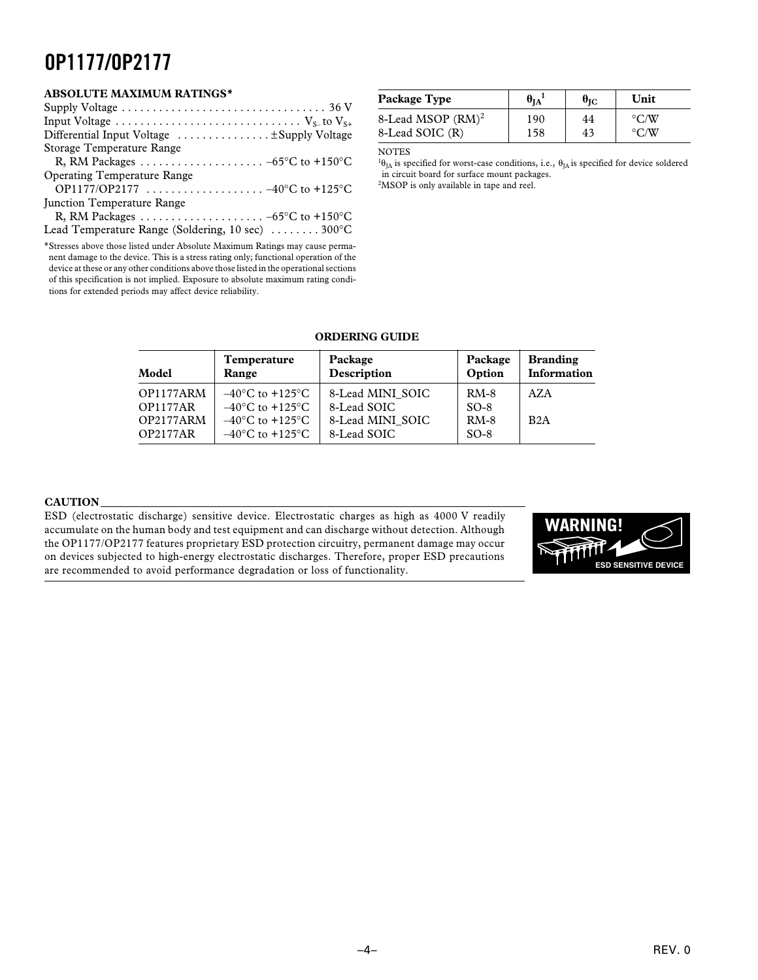#### **ABSOLUTE MAXIMUM RATINGS\***

| Supply Voltage $\dots \dots \dots \dots \dots \dots \dots \dots \dots \dots \dots \dots \dots$ 36 V |  |
|-----------------------------------------------------------------------------------------------------|--|
|                                                                                                     |  |
| Differential Input Voltage $\dots \dots \dots \dots \dots$                                          |  |
| Storage Temperature Range                                                                           |  |
|                                                                                                     |  |
| <b>Operating Temperature Range</b>                                                                  |  |
|                                                                                                     |  |
| Junction Temperature Range                                                                          |  |
|                                                                                                     |  |
| Lead Temperature Range (Soldering, 10 sec) $\dots \dots 300^{\circ}$ C                              |  |
|                                                                                                     |  |

\*Stresses above those listed under Absolute Maximum Ratings may cause permanent damage to the device. This is a stress rating only; functional operation of the device at these or any other conditions above those listed in the operational sections of this specification is not implied. Exposure to absolute maximum rating conditions for extended periods may affect device reliability.

| Package Type         | $\theta_{\rm IA}$ | $\theta_{\rm IC}$ | Unit               |
|----------------------|-------------------|-------------------|--------------------|
| 8-Lead MSOP $(RM)^2$ | 190               | 44                | $\rm ^{\circ}$ C/W |
| 8-Lead SOIC (R)      | 158               | 43                | $\rm ^{\circ}$ C/W |

#### NOTES

<sup>1</sup>θ<sub>JA</sub> is specified for worst-case conditions, i.e., θ<sub>JA</sub> is specified for device soldered in circuit board for surface mount packages.

<sup>2</sup>MSOP is only available in tape and reel.

#### **ORDERING GUIDE**

| Model                                                        | Temperature                                                                                                                                              | Package                                                            | Package                              | <b>Branding</b> |
|--------------------------------------------------------------|----------------------------------------------------------------------------------------------------------------------------------------------------------|--------------------------------------------------------------------|--------------------------------------|-----------------|
|                                                              | Range                                                                                                                                                    | Description                                                        | Option                               | Information     |
| OP1177ARM<br><b>OP1177AR</b><br>OP2177ARM<br><b>OP2177AR</b> | $-40^{\circ}$ C to $+125^{\circ}$ C<br>$-40^{\circ}$ C to $+125^{\circ}$ C<br>$-40^{\circ}$ C to $+125^{\circ}$ C<br>$-40^{\circ}$ C to $+125^{\circ}$ C | 8-Lead MINI SOIC<br>8-Lead SOIC<br>8-Lead MINI SOIC<br>8-Lead SOIC | $RM-8$<br>$SO-8$<br>$RM-8$<br>$SO-8$ | AZA<br>B2A      |

#### **CAUTION**

ESD (electrostatic discharge) sensitive device. Electrostatic charges as high as 4000 V readily accumulate on the human body and test equipment and can discharge without detection. Although the OP1177/OP2177 features proprietary ESD protection circuitry, permanent damage may occur on devices subjected to high-energy electrostatic discharges. Therefore, proper ESD precautions are recommended to avoid performance degradation or loss of functionality.

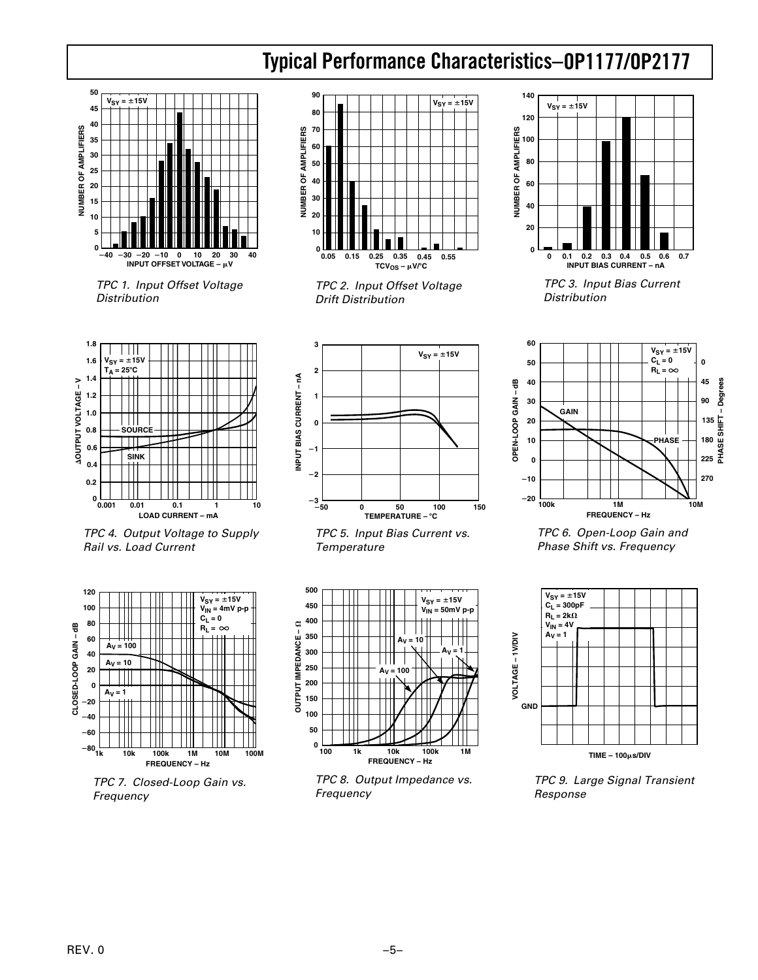### **OP1177/OP2177 Typical Performance Characteristics–**



 TPC 1. Input Offset Voltage Distribution



 TPC 2. Input Offset Voltage Drift Distribution



 TPC 3. Input Bias Current Distribution



 TPC 4. Output Voltage to Supply Rail vs. Load Current



 TPC 7. Closed-Loop Gain vs. Frequency



 TPC 5. Input Bias Current vs. **Temperature** 



 TPC 8. Output Impedance vs. Frequency



 TPC 6. Open-Loop Gain and Phase Shift vs. Frequency



 TPC 9. Large Signal Transient Response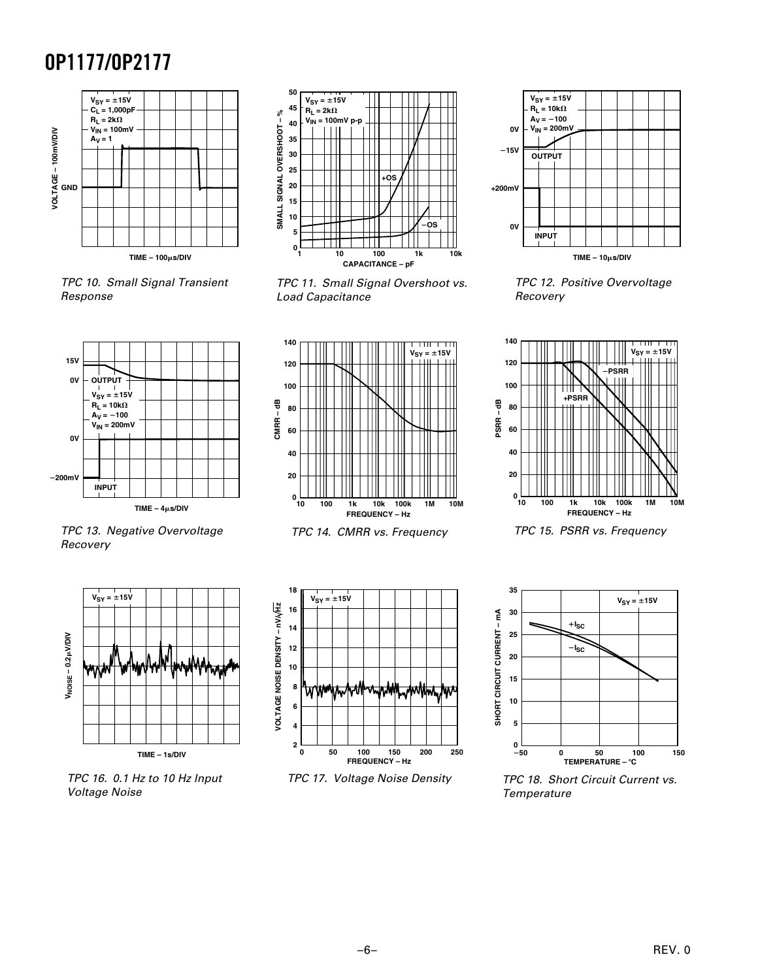

 TPC 10. Small Signal Transient Response



 TPC 11. Small Signal Overshoot vs. Load Capacitance



 TPC 13. Negative Overvoltage Recovery



 TPC 16. 0.1 Hz to 10 Hz Input Voltage Noise



TPC 14. CMRR vs. Frequency



TPC 17. Voltage Noise Density



 TPC 12. Positive Overvoltage Recovery



TPC 15. PSRR vs. Frequency



 TPC 18. Short Circuit Current vs. **Temperature** 

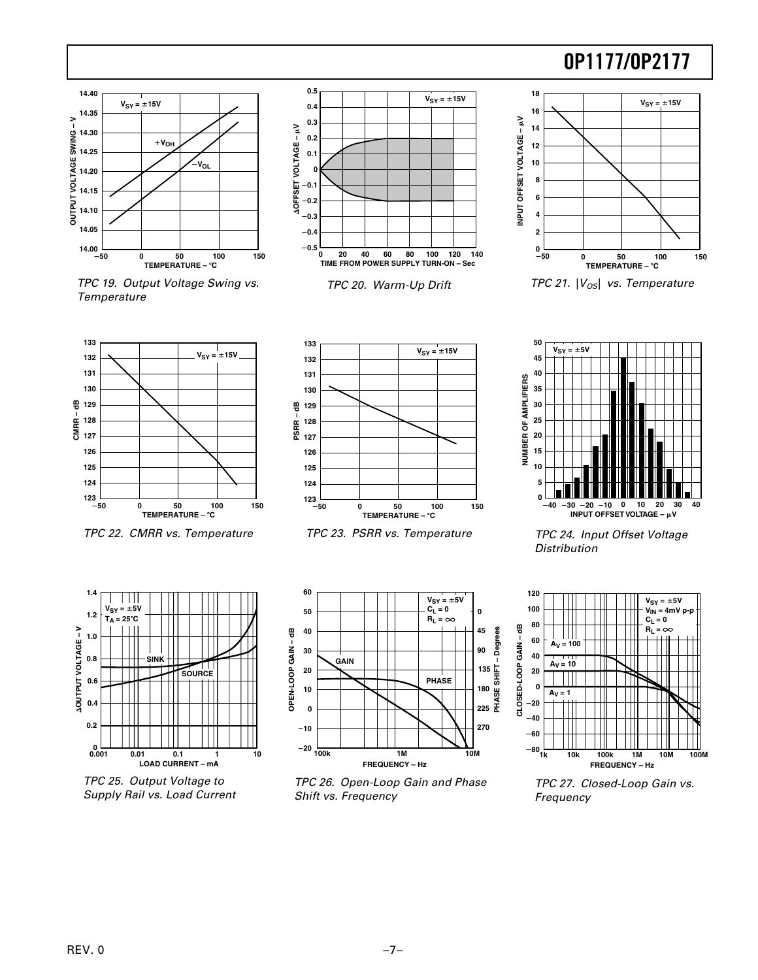

 TPC 19. Output Voltage Swing vs. **Temperature** 



TPC 20. Warm-Up Drift



TPC 21.  $|V_{OS}|$  vs. Temperature



TPC 22. CMRR vs. Temperature



TPC 23. PSRR vs. Temperature



 TPC 24. Input Offset Voltage **Distribution** 



 TPC 25. Output Voltage to Supply Rail vs. Load Current



 TPC 26. Open-Loop Gain and Phase Shift vs. Frequency



 TPC 27. Closed-Loop Gain vs. Frequency

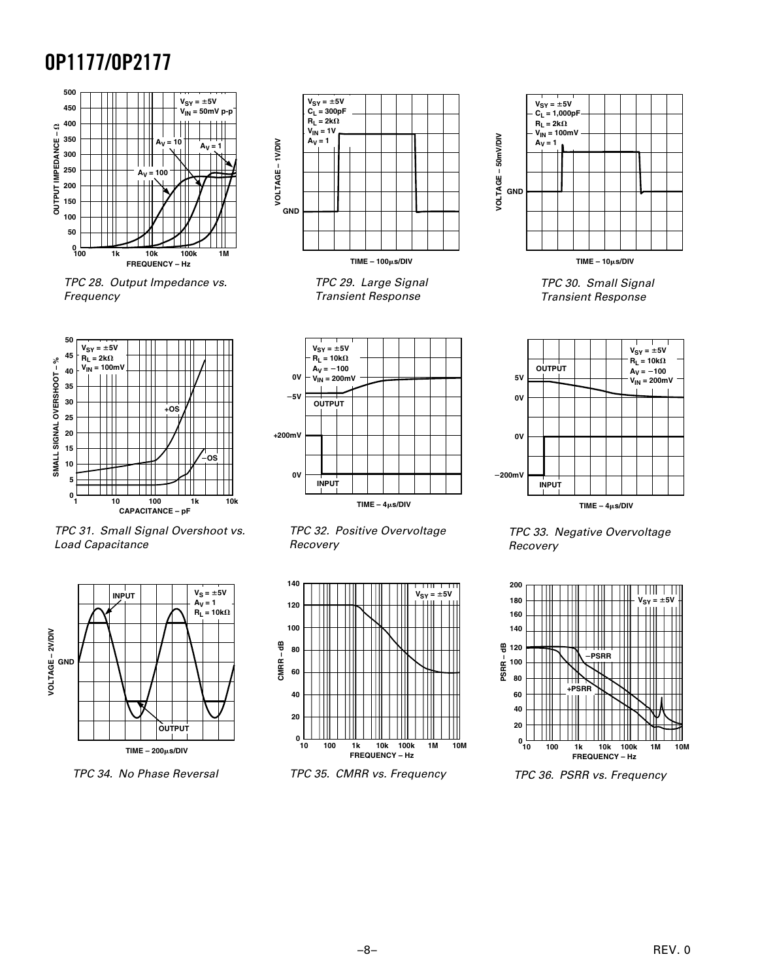

 TPC 28. Output Impedance vs. Frequency



 TPC 31. Small Signal Overshoot vs. Load Capacitance



TPC 34. No Phase Reversal



 TPC 29. Large Signal Transient Response







TPC 35. CMRR vs. Frequency



**TIME – 10s/DIV**

 TPC 30. Small Signal Transient Response



 TPC 33. Negative Overvoltage Recovery



TPC 36. PSRR vs. Frequency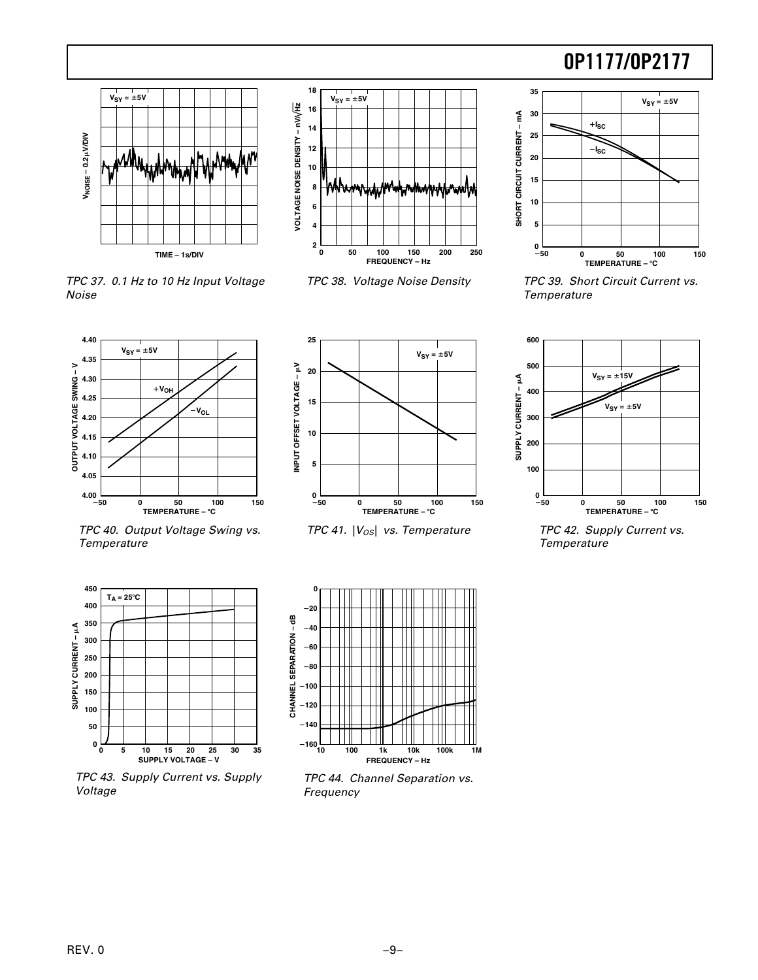



TPC 37. 0.1 Hz to 10 Hz Input Voltage

Noise



TPC 38. Voltage Noise Density



 TPC 39. Short Circuit Current vs. **Temperature** 





TPC 41.  $|V_{OS}|$  vs. Temperature



 TPC 42. Supply Current vs. Temperature





 TPC 43. Supply Current vs. Supply Voltage



 TPC 44. Channel Separation vs. Frequency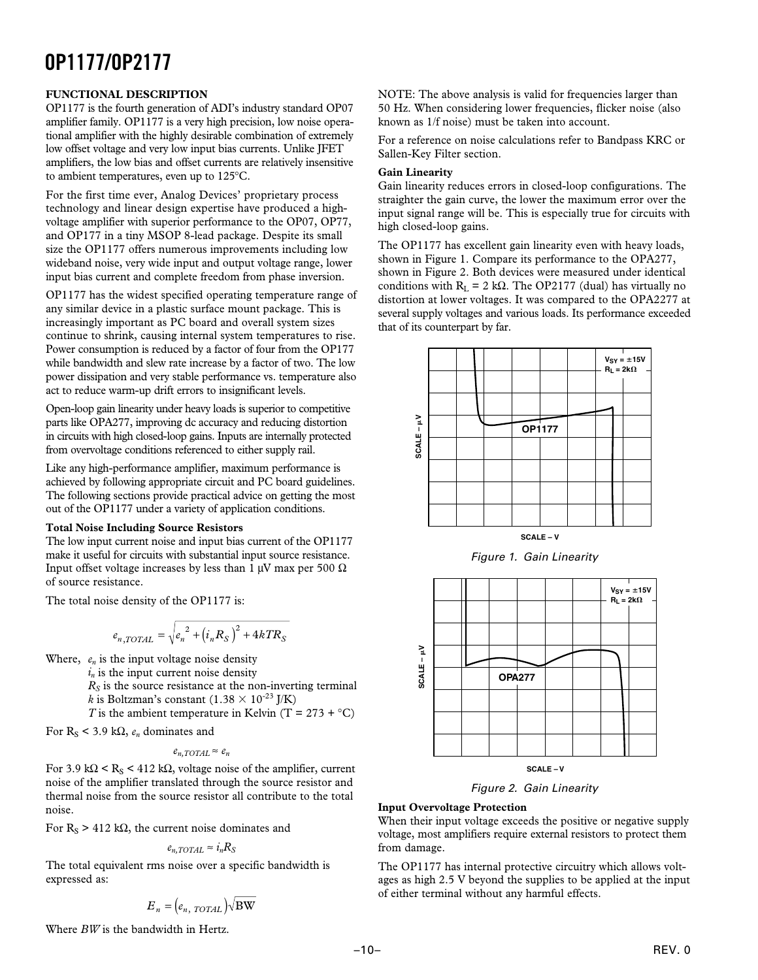#### **FUNCTIONAL DESCRIPTION**

OP1177 is the fourth generation of ADI's industry standard OP07 amplifier family. OP1177 is a very high precision, low noise operational amplifier with the highly desirable combination of extremely low offset voltage and very low input bias currents. Unlike JFET amplifiers, the low bias and offset currents are relatively insensitive to ambient temperatures, even up to 125°C.

For the first time ever, Analog Devices' proprietary process technology and linear design expertise have produced a highvoltage amplifier with superior performance to the OP07, OP77, and OP177 in a tiny MSOP 8-lead package. Despite its small size the OP1177 offers numerous improvements including low wideband noise, very wide input and output voltage range, lower input bias current and complete freedom from phase inversion.

OP1177 has the widest specified operating temperature range of any similar device in a plastic surface mount package. This is increasingly important as PC board and overall system sizes continue to shrink, causing internal system temperatures to rise. Power consumption is reduced by a factor of four from the OP177 while bandwidth and slew rate increase by a factor of two. The low power dissipation and very stable performance vs. temperature also act to reduce warm-up drift errors to insignificant levels.

Open-loop gain linearity under heavy loads is superior to competitive parts like OPA277, improving dc accuracy and reducing distortion in circuits with high closed-loop gains. Inputs are internally protected from overvoltage conditions referenced to either supply rail.

Like any high-performance amplifier, maximum performance is achieved by following appropriate circuit and PC board guidelines. The following sections provide practical advice on getting the most out of the OP1177 under a variety of application conditions.

#### **Total Noise Including Source Resistors**

The low input current noise and input bias current of the OP1177 make it useful for circuits with substantial input source resistance. Input offset voltage increases by less than 1  $\mu$ V max per 500  $\Omega$ of source resistance.

The total noise density of the OP1177 is:

$$
e_{n, TOTAL} = \sqrt{e_n^2 + (i_n R_S)^2 + 4kTR_S}
$$

Where,  $e_n$  is the input voltage noise density

 $i_n$  is the input current noise density

 $R<sub>S</sub>$  is the source resistance at the non-inverting terminal *k* is Boltzman's constant  $(1.38 \times 10^{-23}$  J/K)

*T* is the ambient temperature in Kelvin (T =  $273 + C$ )

For  $R_S$  < 3.9 k $\Omega$ ,  $e_n$  dominates and

$$
e_{n, TOTAL} \approx e_n
$$

For 3.9 kΩ < R<sub>S</sub> < 412 kΩ, voltage noise of the amplifier, current noise of the amplifier translated through the source resistor and thermal noise from the source resistor all contribute to the total noise.

For  $R_S > 412$  k $\Omega$ , the current noise dominates and

$$
e_{n, TOTAL} \approx i_n R_S
$$

The total equivalent rms noise over a specific bandwidth is expressed as:

$$
E_n = \left(e_{n, \; TOTAL}\right) \sqrt{\text{BW}}
$$

Where *BW* is the bandwidth in Hertz.

NOTE: The above analysis is valid for frequencies larger than 50 Hz. When considering lower frequencies, flicker noise (also known as 1/f noise) must be taken into account.

For a reference on noise calculations refer to Bandpass KRC or Sallen-Key Filter section.

#### **Gain Linearity**

Gain linearity reduces errors in closed-loop configurations. The straighter the gain curve, the lower the maximum error over the input signal range will be. This is especially true for circuits with high closed-loop gains.

The OP1177 has excellent gain linearity even with heavy loads, shown in Figure 1. Compare its performance to the OPA277, shown in Figure 2. Both devices were measured under identical conditions with  $R_L = 2 k\Omega$ . The OP2177 (dual) has virtually no distortion at lower voltages. It was compared to the OPA2277 at several supply voltages and various loads. Its performance exceeded that of its counterpart by far.







Figure 2. Gain Linearity

#### **Input Overvoltage Protection**

When their input voltage exceeds the positive or negative supply voltage, most amplifiers require external resistors to protect them from damage.

The OP1177 has internal protective circuitry which allows voltages as high 2.5 V beyond the supplies to be applied at the input of either terminal without any harmful effects.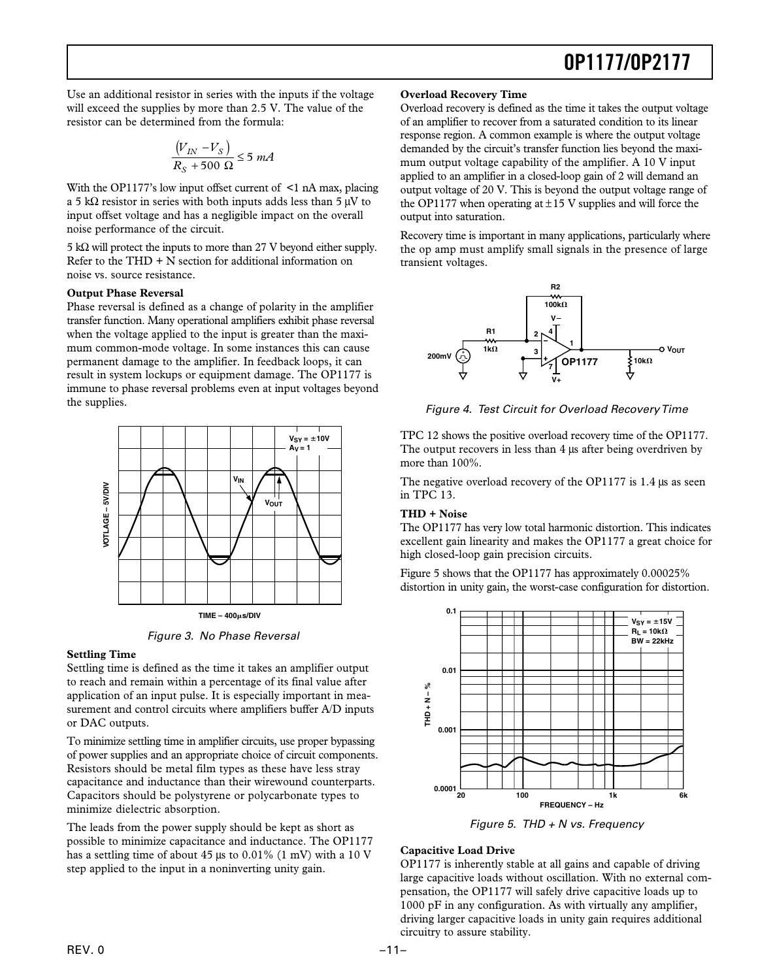Use an additional resistor in series with the inputs if the voltage will exceed the supplies by more than 2.5 V. The value of the resistor can be determined from the formula:

$$
\frac{\left(V_{IN} - V_S\right)}{R_S + 500 \ \Omega} \le 5 \ mA
$$

With the OP1177's low input offset current of  $\leq 1$  nA max, placing a 5 kΩ resistor in series with both inputs adds less than 5  $\mu$ V to input offset voltage and has a negligible impact on the overall noise performance of the circuit.

5 kΩ will protect the inputs to more than 27 V beyond either supply. Refer to the  $THD + N$  section for additional information on noise vs. source resistance.

#### **Output Phase Reversal**

Phase reversal is defined as a change of polarity in the amplifier transfer function. Many operational amplifiers exhibit phase reversal when the voltage applied to the input is greater than the maximum common-mode voltage. In some instances this can cause permanent damage to the amplifier. In feedback loops, it can result in system lockups or equipment damage. The OP1177 is immune to phase reversal problems even at input voltages beyond the supplies.



Figure 3. No Phase Reversal

#### **Settling Time**

Settling time is defined as the time it takes an amplifier output to reach and remain within a percentage of its final value after application of an input pulse. It is especially important in measurement and control circuits where amplifiers buffer A/D inputs or DAC outputs.

To minimize settling time in amplifier circuits, use proper bypassing of power supplies and an appropriate choice of circuit components. Resistors should be metal film types as these have less stray capacitance and inductance than their wirewound counterparts. Capacitors should be polystyrene or polycarbonate types to minimize dielectric absorption.

The leads from the power supply should be kept as short as possible to minimize capacitance and inductance. The OP1177 has a settling time of about 45 µs to 0.01% (1 mV) with a 10 V step applied to the input in a noninverting unity gain.

#### **Overload Recovery Time**

Overload recovery is defined as the time it takes the output voltage of an amplifier to recover from a saturated condition to its linear response region. A common example is where the output voltage demanded by the circuit's transfer function lies beyond the maximum output voltage capability of the amplifier. A 10 V input applied to an amplifier in a closed-loop gain of 2 will demand an output voltage of 20 V. This is beyond the output voltage range of the OP1177 when operating at  $\pm$ 15 V supplies and will force the output into saturation.

Recovery time is important in many applications, particularly where the op amp must amplify small signals in the presence of large transient voltages.



Figure 4. Test Circuit for Overload Recovery Time

TPC 12 shows the positive overload recovery time of the OP1177. The output recovers in less than 4  $\mu$ s after being overdriven by more than 100%.

The negative overload recovery of the OP1177 is 1.4 µs as seen in TPC 13.

#### **THD + Noise**

The OP1177 has very low total harmonic distortion. This indicates excellent gain linearity and makes the OP1177 a great choice for high closed-loop gain precision circuits.

Figure 5 shows that the OP1177 has approximately 0.00025% distortion in unity gain, the worst-case configuration for distortion.



Figure 5. THD  $+$  N vs. Frequency

#### **Capacitive Load Drive**

OP1177 is inherently stable at all gains and capable of driving large capacitive loads without oscillation. With no external compensation, the OP1177 will safely drive capacitive loads up to 1000 pF in any configuration. As with virtually any amplifier, driving larger capacitive loads in unity gain requires additional circuitry to assure stability.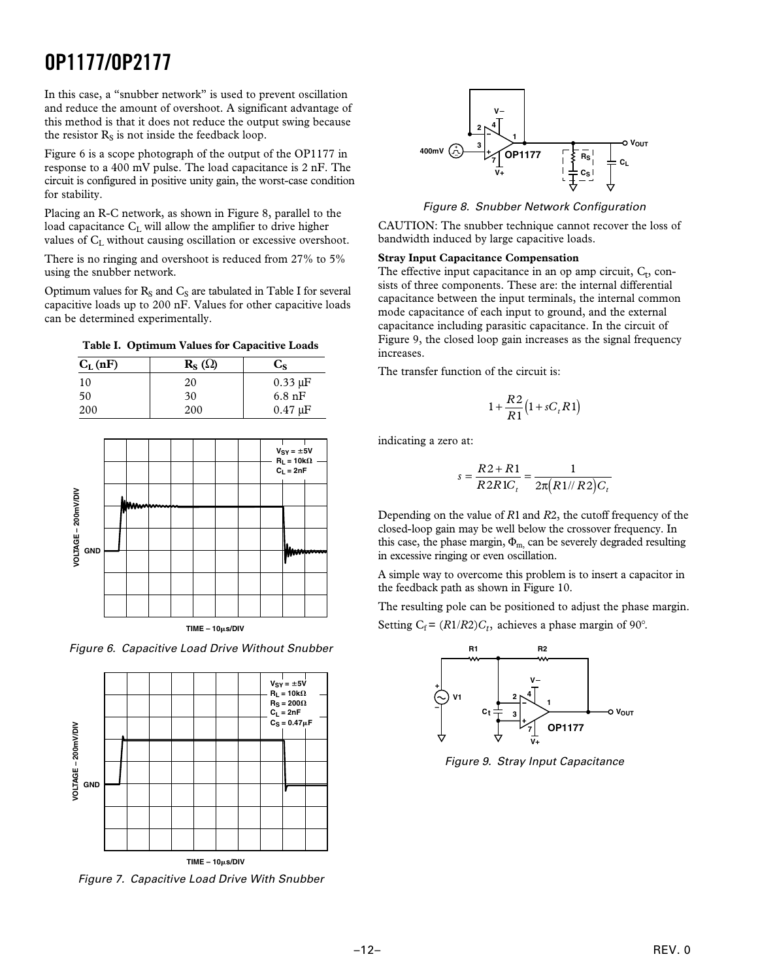In this case, a "snubber network" is used to prevent oscillation and reduce the amount of overshoot. A significant advantage of this method is that it does not reduce the output swing because the resistor  $R_S$  is not inside the feedback loop.

Figure 6 is a scope photograph of the output of the OP1177 in response to a 400 mV pulse. The load capacitance is 2 nF. The circuit is configured in positive unity gain, the worst-case condition for stability.

Placing an R-C network, as shown in Figure 8, parallel to the load capacitance C<sub>L</sub> will allow the amplifier to drive higher values of  $C_L$  without causing oscillation or excessive overshoot.

There is no ringing and overshoot is reduced from 27% to 5% using the snubber network.

Optimum values for  $R_S$  and  $C_S$  are tabulated in Table I for several capacitive loads up to 200 nF. Values for other capacitive loads can be determined experimentally.

| $C_{L}$ (nF) | $\mathbf{R}_{\mathbf{S}}(\Omega)$ | $C_{S}$          |
|--------------|-----------------------------------|------------------|
| 10           | 20                                | $0.33 \mu F$     |
| 50           | 30                                | $6.8 \text{ nF}$ |
| 200          | 200                               | $0.47 \mu F$     |





Figure 6. Capacitive Load Drive Without Snubber



Figure 7. Capacitive Load Drive With Snubber



Figure 8. Snubber Network Configuration

CAUTION: The snubber technique cannot recover the loss of bandwidth induced by large capacitive loads.

#### **Stray Input Capacitance Compensation**

The effective input capacitance in an op amp circuit,  $C_t$ , consists of three components. These are: the internal differential capacitance between the input terminals, the internal common mode capacitance of each input to ground, and the external capacitance including parasitic capacitance. In the circuit of Figure 9, the closed loop gain increases as the signal frequency increases.

The transfer function of the circuit is:

$$
1 + \frac{R2}{R1} (1 + sC_t R1)
$$

indicating a zero at:

$$
s = \frac{R2 + R1}{R2R1C_t} = \frac{1}{2\pi (R1/R2)C_t}
$$

Depending on the value of *R*1 and *R*2, the cutoff frequency of the closed-loop gain may be well below the crossover frequency. In this case, the phase margin,  $\Phi_{m}$ , can be severely degraded resulting in excessive ringing or even oscillation.

A simple way to overcome this problem is to insert a capacitor in the feedback path as shown in Figure 10.

The resulting pole can be positioned to adjust the phase margin. Setting  $C_f = (R1/R2)C_t$ , achieves a phase margin of 90°.



Figure 9. Stray Input Capacitance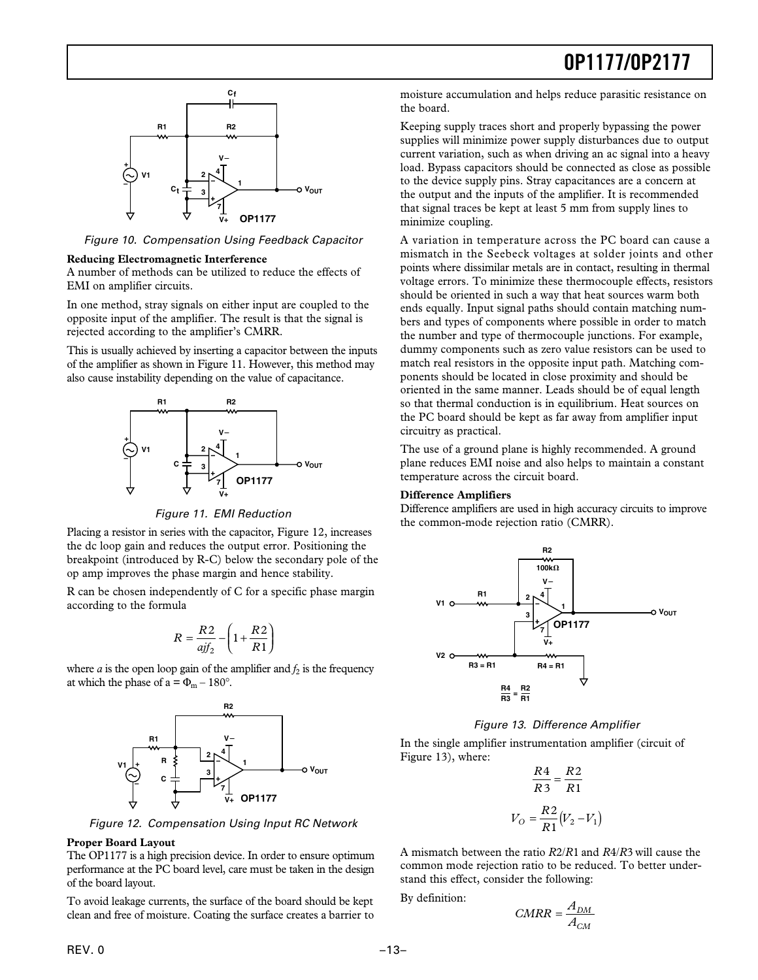

Figure 10. Compensation Using Feedback Capacitor

#### **Reducing Electromagnetic Interference**

A number of methods can be utilized to reduce the effects of EMI on amplifier circuits.

In one method, stray signals on either input are coupled to the opposite input of the amplifier. The result is that the signal is rejected according to the amplifier's CMRR.

This is usually achieved by inserting a capacitor between the inputs of the amplifier as shown in Figure 11. However, this method may also cause instability depending on the value of capacitance.



Figure 11. EMI Reduction

Placing a resistor in series with the capacitor, Figure 12, increases the dc loop gain and reduces the output error. Positioning the breakpoint (introduced by R-C) below the secondary pole of the op amp improves the phase margin and hence stability.

R can be chosen independently of C for a specific phase margin according to the formula

$$
R = \frac{R2}{ajf_2} - \left(1 + \frac{R2}{R1}\right)
$$

where *a* is the open loop gain of the amplifier and  $f_2$  is the frequency at which the phase of  $a = \Phi_m - 180^\circ$ .



Figure 12. Compensation Using Input RC Network

#### **Proper Board Layout**

The OP1177 is a high precision device. In order to ensure optimum performance at the PC board level, care must be taken in the design of the board layout.

To avoid leakage currents, the surface of the board should be kept clean and free of moisture. Coating the surface creates a barrier to

moisture accumulation and helps reduce parasitic resistance on the board.

Keeping supply traces short and properly bypassing the power supplies will minimize power supply disturbances due to output current variation, such as when driving an ac signal into a heavy load. Bypass capacitors should be connected as close as possible to the device supply pins. Stray capacitances are a concern at the output and the inputs of the amplifier. It is recommended that signal traces be kept at least 5 mm from supply lines to minimize coupling.

A variation in temperature across the PC board can cause a mismatch in the Seebeck voltages at solder joints and other points where dissimilar metals are in contact, resulting in thermal voltage errors. To minimize these thermocouple effects, resistors should be oriented in such a way that heat sources warm both ends equally. Input signal paths should contain matching numbers and types of components where possible in order to match the number and type of thermocouple junctions. For example, dummy components such as zero value resistors can be used to match real resistors in the opposite input path. Matching components should be located in close proximity and should be oriented in the same manner. Leads should be of equal length so that thermal conduction is in equilibrium. Heat sources on the PC board should be kept as far away from amplifier input circuitry as practical.

The use of a ground plane is highly recommended. A ground plane reduces EMI noise and also helps to maintain a constant temperature across the circuit board.

#### **Difference Amplifiers**

Difference amplifiers are used in high accuracy circuits to improve the common-mode rejection ratio (CMRR).



Figure 13. Difference Amplifier

In the single amplifier instrumentation amplifier (circuit of Figure 13), where:

$$
\frac{R4}{R3} = \frac{R2}{R1}
$$

$$
V_O = \frac{R2}{R1}(V_2 - V_1)
$$

A mismatch between the ratio *R*2/*R*1 and *R*4/*R*3 will cause the common mode rejection ratio to be reduced. To better understand this effect, consider the following:

By definition:

$$
CMRR = \frac{A_{DM}}{A_{CM}}
$$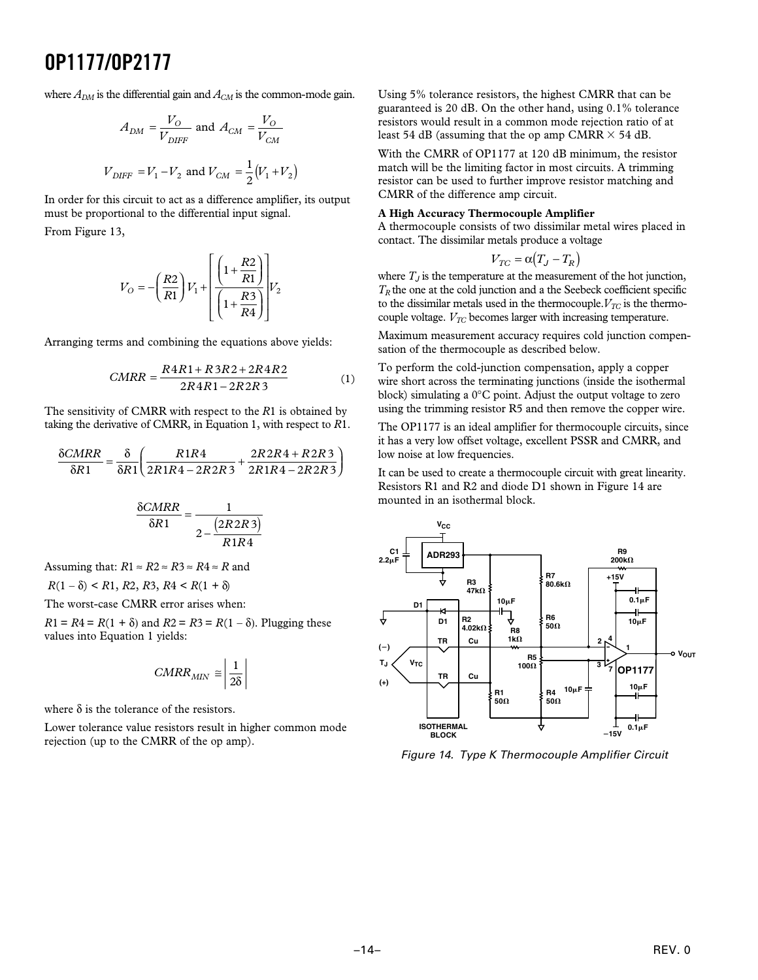where  $A_{DM}$  is the differential gain and  $A_{CM}$  is the common-mode gain.

$$
A_{DM} = \frac{V_O}{V_{DIFF}} \text{ and } A_{CM} = \frac{V_O}{V_{CM}}
$$
  

$$
V_{DIFF} = V_1 - V_2 \text{ and } V_{CM} = \frac{1}{2}(V_1 + V_2)
$$

In order for this circuit to act as a difference amplifier, its output must be proportional to the differential input signal.

From Figure 13,

$$
V_O = -\left(\frac{R2}{R1}\right) V_1 + \left[\frac{\left(1 + \frac{R2}{R1}\right)}{\left(1 + \frac{R3}{R4}\right)}\right] V_2
$$

Arranging terms and combining the equations above yields:

$$
CMRR = \frac{R4R1 + R3R2 + 2R4R2}{2R4R1 - 2R2R3}
$$
 (1)

The sensitivity of CMRR with respect to the *R*1 is obtained by taking the derivative of CMRR, in Equation 1, with respect to *R*1.

$$
\frac{\delta CMRR}{\delta R1} = \frac{\delta}{\delta R1} \left( \frac{R1R4}{2R1R4 - 2R2R3} + \frac{2R2R4 + R2R3}{2R1R4 - 2R2R3} \right)
$$

$$
\frac{\delta CMRR}{\delta R1} = \frac{1}{2 - \frac{(2R2R3)}{R1R4}}
$$

Assuming that:  $R1 \approx R2 \approx R3 \approx R4 \approx R$  and  $R(1 - \delta)$  < *R*1, *R*2, *R*3, *R*4 < *R*(1 +  $\delta$ )

The worst-case CMRR error arises when:

 $R1 = R4 = R(1 + \delta)$  and  $R2 = R3 = R(1 - \delta)$ . Plugging these values into Equation 1 yields:

$$
CMRR_{MIN} \cong \left| \frac{1}{2\delta} \right|
$$

where  $\delta$  is the tolerance of the resistors.

Lower tolerance value resistors result in higher common mode rejection (up to the CMRR of the op amp).

Using 5% tolerance resistors, the highest CMRR that can be guaranteed is 20 dB. On the other hand, using 0.1% tolerance resistors would result in a common mode rejection ratio of at least 54 dB (assuming that the op amp CMRR  $\times$  54 dB.

With the CMRR of OP1177 at 120 dB minimum, the resistor match will be the limiting factor in most circuits. A trimming resistor can be used to further improve resistor matching and CMRR of the difference amp circuit.

#### **A High Accuracy Thermocouple Amplifier**

A thermocouple consists of two dissimilar metal wires placed in contact. The dissimilar metals produce a voltage

$$
V_{TC} = \alpha (T_J - T_R)
$$

where  $T_J$  is the temperature at the measurement of the hot junction,  $T_R$  the one at the cold junction and a the Seebeck coefficient specific to the dissimilar metals used in the thermocouple.  $V_{TC}$  is the thermocouple voltage.  $V_{TC}$  becomes larger with increasing temperature.

Maximum measurement accuracy requires cold junction compensation of the thermocouple as described below.

To perform the cold-junction compensation, apply a copper wire short across the terminating junctions (inside the isothermal block) simulating a 0°C point. Adjust the output voltage to zero using the trimming resistor R5 and then remove the copper wire.

The OP1177 is an ideal amplifier for thermocouple circuits, since it has a very low offset voltage, excellent PSSR and CMRR, and low noise at low frequencies.

It can be used to create a thermocouple circuit with great linearity. Resistors R1 and R2 and diode D1 shown in Figure 14 are mounted in an isothermal block.



Figure 14. Type K Thermocouple Amplifier Circuit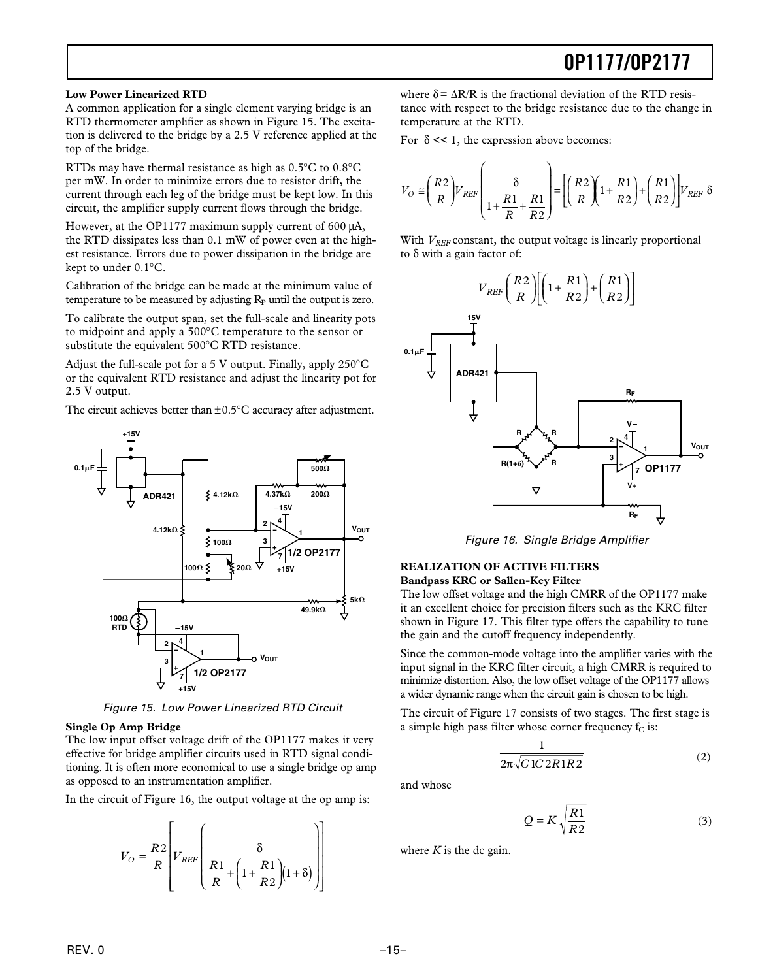#### **Low Power Linearized RTD**

A common application for a single element varying bridge is an RTD thermometer amplifier as shown in Figure 15. The excitation is delivered to the bridge by a 2.5 V reference applied at the top of the bridge.

RTDs may have thermal resistance as high as 0.5°C to 0.8°C per mW. In order to minimize errors due to resistor drift, the current through each leg of the bridge must be kept low. In this circuit, the amplifier supply current flows through the bridge.

However, at the OP1177 maximum supply current of 600 µA, the RTD dissipates less than 0.1 mW of power even at the highest resistance. Errors due to power dissipation in the bridge are kept to under 0.1°C.

Calibration of the bridge can be made at the minimum value of temperature to be measured by adjusting  $R_p$  until the output is zero.

To calibrate the output span, set the full-scale and linearity pots to midpoint and apply a 500°C temperature to the sensor or substitute the equivalent 500°C RTD resistance.

Adjust the full-scale pot for a 5 V output. Finally, apply 250°C or the equivalent RTD resistance and adjust the linearity pot for 2.5 V output.

The circuit achieves better than  $\pm 0.5^{\circ}$ C accuracy after adjustment.



Figure 15. Low Power Linearized RTD Circuit

#### **Single Op Amp Bridge**

The low input offset voltage drift of the OP1177 makes it very effective for bridge amplifier circuits used in RTD signal conditioning. It is often more economical to use a single bridge op amp as opposed to an instrumentation amplifier.

In the circuit of Figure 16, the output voltage at the op amp is:

$$
V_O = \frac{R2}{R} \left[ V_{REF} \left( \frac{\delta}{\frac{R1}{R} + \left( 1 + \frac{R1}{R2} \right) (1 + \delta)} \right) \right]
$$

where  $\delta = \Delta R/R$  is the fractional deviation of the RTD resistance with respect to the bridge resistance due to the change in temperature at the RTD.

For  $\delta \ll 1$ , the expression above becomes:

$$
V_O \cong \left(\frac{R2}{R}\right) V_{REF} \left(\frac{\delta}{1 + \frac{R1}{R} + \frac{R1}{R2}}\right) = \left[\left(\frac{R2}{R}\right) \left(1 + \frac{R1}{R2}\right) + \left(\frac{R1}{R2}\right)\right] V_{REF} \delta
$$

With  $V_{REF}$  constant, the output voltage is linearly proportional to δ with a gain factor of:



Figure 16. Single Bridge Amplifier

#### **REALIZATION OF ACTIVE FILTERS Bandpass KRC or Sallen-Key Filter**

The low offset voltage and the high CMRR of the OP1177 make it an excellent choice for precision filters such as the KRC filter shown in Figure 17. This filter type offers the capability to tune the gain and the cutoff frequency independently.

Since the common-mode voltage into the amplifier varies with the input signal in the KRC filter circuit, a high CMRR is required to minimize distortion. Also, the low offset voltage of the OP1177 allows a wider dynamic range when the circuit gain is chosen to be high.

The circuit of Figure 17 consists of two stages. The first stage is a simple high pass filter whose corner frequency  $f_C$  is:

$$
\frac{1}{2\pi\sqrt{C\,1C\,2R\,1R\,2}}\tag{2}
$$

and whose

$$
Q = K \sqrt{\frac{R1}{R2}}
$$
 (3)

where  $K$  is the dc gain.